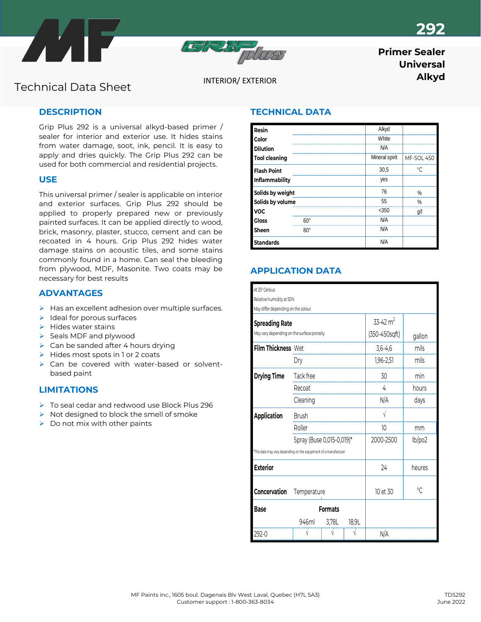





# **Primer Sealer Universal**

**Alkyd** INTERIOR/ EXTERIOR **INTERIOR INTERIOR** 

# **DESCRIPTION**

Grip Plus 292 is a universal alkyd-based primer / sealer for interior and exterior use. It hides stains from water damage, soot, ink, pencil. It is easy to apply and dries quickly. The Grip Plus 292 can be used for both commercial and residential projects.

## **USE**

This universal primer / sealer is applicable on interior and exterior surfaces. Grip Plus 292 should be applied to properly prepared new or previously painted surfaces. It can be applied directly to wood, brick, masonry, plaster, stucco, cement and can be recoated in 4 hours. Grip Plus 292 hides water damage stains on acoustic tiles, and some stains commonly found in a home. Can seal the bleeding from plywood, MDF, Masonite. Two coats may be necessary for best results

## **ADVANTAGES**

- $\triangleright$  Has an excellent adhesion over multiple surfaces.
- $\blacktriangleright$  Ideal for porous surfaces
- ➢ Hides water stains
- ➢ Seals MDF and plywood
- $\triangleright$  Can be sanded after 4 hours drying
- ➢ Hides most spots in 1 or 2 coats
- ➢ Can be covered with water-based or solventbased paint

## **LIMITATIONS**

- ➢ To seal cedar and redwood use Block Plus 296
- ➢ Not designed to block the smell of smoke
- $\triangleright$  Do not mix with other paints

# **TECHNICAL DATA**

| Resin                |            |    | Alkyd          |            |
|----------------------|------------|----|----------------|------------|
| Color                |            |    | White          |            |
| <b>Dilution</b>      |            |    | N/A            |            |
| <b>Tool cleaning</b> |            |    | Mineral spirit | MF-SOL 450 |
| <b>Flash Point</b>   |            |    | 30.5           | $\circ$    |
| Inflammability       |            |    | yes            |            |
| Solids by weight     |            | 76 | %              |            |
| Solids by volume     |            | 55 | $\%$           |            |
| <b>VOC</b>           |            |    | $<$ 350        | g/l        |
| <b>Gloss</b>         | 60°        |    | N/A            |            |
| Sheen                | $80^\circ$ |    | N/A            |            |
| <b>Standards</b>     |            |    | N/A            |            |

# **APPLICATION DATA**

| At 25° Celsius                                                   |                           |       |        |               |                |  |  |  |  |
|------------------------------------------------------------------|---------------------------|-------|--------|---------------|----------------|--|--|--|--|
| Relative humidity at 50%                                         |                           |       |        |               |                |  |  |  |  |
| May differ depending on the colour                               |                           |       |        |               |                |  |  |  |  |
| <b>Spreading Rate</b>                                            |                           |       |        | 33-42 $m2$    |                |  |  |  |  |
| May vary depending on the surface porosity                       |                           |       |        | (350-450sqft) | gallon         |  |  |  |  |
| Film Thickness Wet                                               |                           |       |        | $3,6-4,6$     | mils           |  |  |  |  |
|                                                                  | Dry                       |       |        | $1,96 - 2,51$ | mils           |  |  |  |  |
| <b>Drying Time</b>                                               | Tack free                 |       |        | 30            | min            |  |  |  |  |
|                                                                  | Recoat                    |       |        | 4             | hours          |  |  |  |  |
|                                                                  | Cleaning                  |       |        | N/A           | days           |  |  |  |  |
| <b>Application</b>                                               | <b>Brush</b>              |       |        |               |                |  |  |  |  |
|                                                                  | Roller                    |       |        | 10            | mm             |  |  |  |  |
|                                                                  | Spray (Buse 0,015-0,019)* |       |        | 2000-2500     | lb/po2         |  |  |  |  |
| *This data may vary depending on the equipment of a manufacturer |                           |       |        |               |                |  |  |  |  |
| <b>Exterior</b>                                                  |                           | 24    | heures |               |                |  |  |  |  |
| Concervation                                                     | Temperature               |       |        | 10 et 30      | $\sqrt{\cdot}$ |  |  |  |  |
| <b>Base</b><br><b>Formats</b>                                    |                           |       |        |               |                |  |  |  |  |
|                                                                  | 946ml                     | 3,78L | 18,9L  |               |                |  |  |  |  |
| 292-0                                                            |                           |       |        | N/A           |                |  |  |  |  |